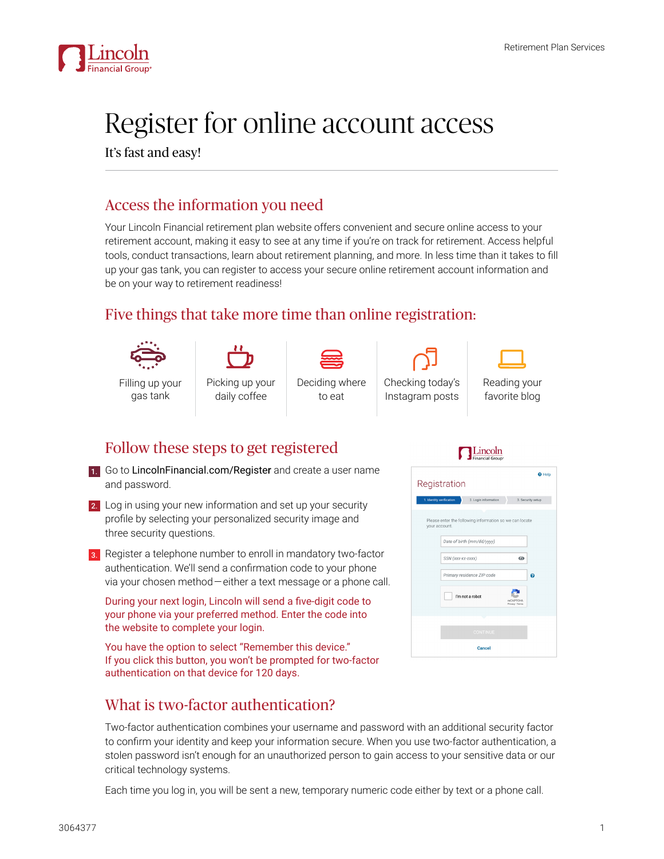

# Register for online account access

It's fast and easy!

## Access the information you need

Your Lincoln Financial retirement plan website offers convenient and secure online access to your retirement account, making it easy to see at any time if you're on track for retirement. Access helpful tools, conduct transactions, learn about retirement planning, and more. In less time than it takes to fill up your gas tank, you can register to access your secure online retirement account information and be on your way to retirement readiness!

## Five things that take more time than online registration:



gas tank



Picking up your daily coffee



Deciding where to eat Checking today's Instagram posts



#### Reading your favorite blog

### Follow these steps to get registered

1. Go to [LincolnFinancial.com/Registe](https://www.lfg.com/public/bounce?dest_url=https://hub2.lfg.com/lfg-static/pblstatic/hub-consumer-regn/#/rps?utm_campaign=rps_b2c_WebRegistration&utm_medium=pdf&utm_source=print&utm_content=ppt_DC-REG-FLI002_z16_flierlink)r and create a user name and password.



3. Register a telephone number to enroll in mandatory two-factor authentication. We'll send a confirmation code to your phone via your chosen method — either a text message or a phone call.

During your next login, Lincoln will send a five-digit code to your phone via your preferred method. Enter the code into the website to complete your login.

You have the option to select "Remember this device." If you click this button, you won't be prompted for two-factor authentication on that device for 120 days.

# What is two-factor authentication?

Two-factor authentication combines your username and password with an additional security factor to confirm your identity and keep your information secure. When you use two-factor authentication, a stolen password isn't enough for an unauthorized person to gain access to your sensitive data or our critical technology systems.

Each time you log in, you will be sent a new, temporary numeric code either by text or a phone call.

### Lincoln